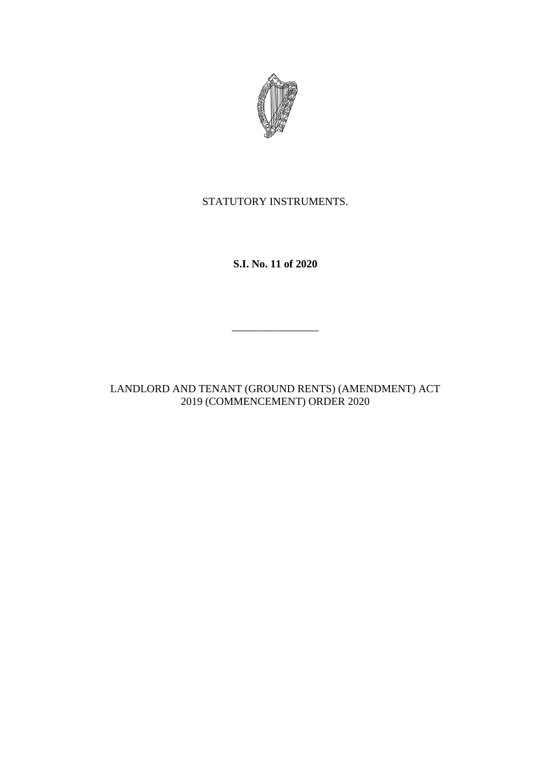

## STATUTORY INSTRUMENTS.

**S.I. No. 11 of 2020**

LANDLORD AND TENANT (GROUND RENTS) (AMENDMENT) ACT 2019 (COMMENCEMENT) ORDER 2020

 $\frac{1}{2}$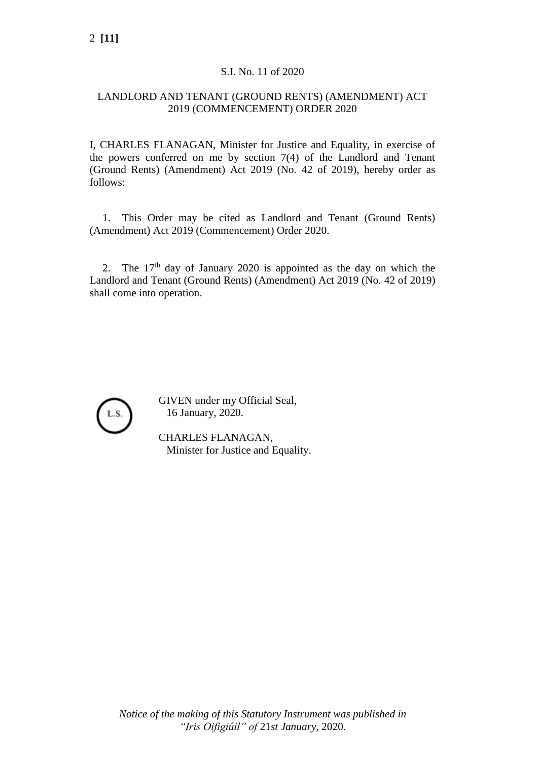### S.I. No. 11 of 2020

## LANDLORD AND TENANT (GROUND RENTS) (AMENDMENT) ACT 2019 (COMMENCEMENT) ORDER 2020

I, CHARLES FLANAGAN, Minister for Justice and Equality, in exercise of the powers conferred on me by section 7(4) of the Landlord and Tenant (Ground Rents) (Amendment) Act 2019 (No. 42 of 2019), hereby order as follows:

1. This Order may be cited as Landlord and Tenant (Ground Rents) (Amendment) Act 2019 (Commencement) Order 2020.

2. The  $17<sup>th</sup>$  day of January 2020 is appointed as the day on which the Landlord and Tenant (Ground Rents) (Amendment) Act 2019 (No. 42 of 2019) shall come into operation.



GIVEN under my Official Seal, 16 January, 2020.

CHARLES FLANAGAN, Minister for Justice and Equality.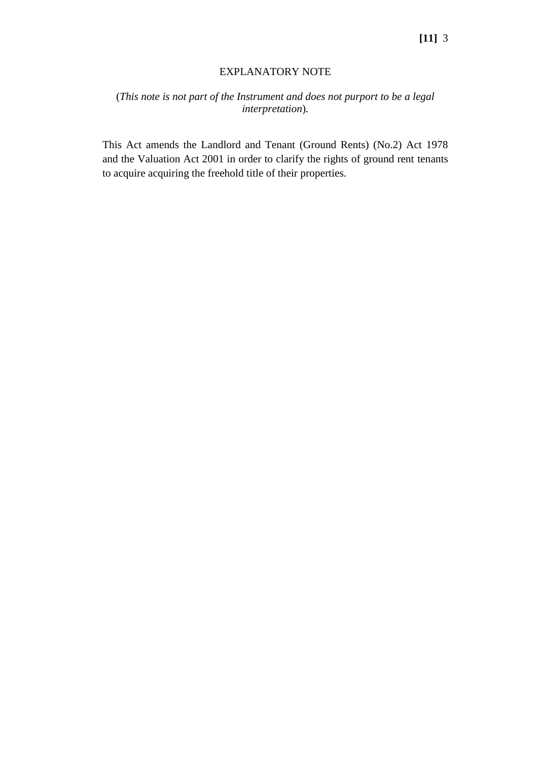#### EXPLANATORY NOTE

# (*This note is not part of the Instrument and does not purport to be a legal interpretation*)*.*

This Act amends the Landlord and Tenant (Ground Rents) (No.2) Act 1978 and the Valuation Act 2001 in order to clarify the rights of ground rent tenants to acquire acquiring the freehold title of their properties.